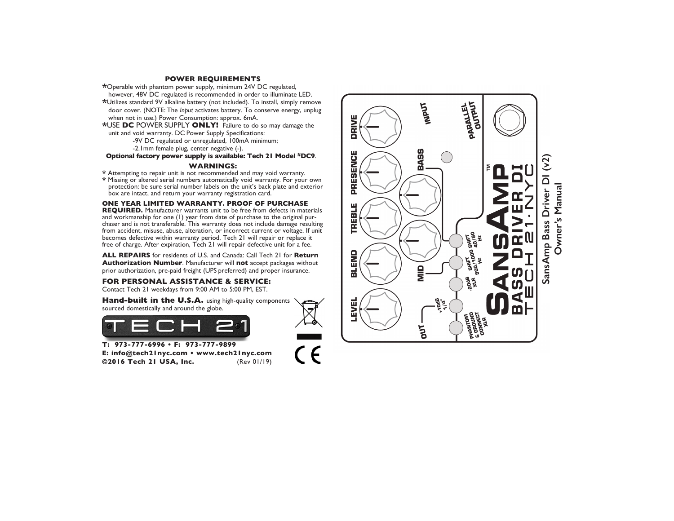#### **POWER REQUIREMENTS**

\* Operable with phantom power supply, minimum 24V DC regulated,

- however, 48V DC regulated is recommended in order to illuminate LED. \*Utilizes standard 9V alkaline battery (not included). To install, simply remove door cover. (NOTE: The *Input* activates battery. To conserve energy, unplug when not in use.) Power Consumption: approx. 6mA.
- \*USE DC POWER SUPPLY ONLY! Failure to do so may damage the unit and void warranty. DC Power Supply Specifications:

-9V DC regulated or unregulated, 100mA minimum;

-2. Imm female plug, center negative (-).

Optional factory power supply is available: Tech 21 Model #DC9.

## **WARNINGS:**

\* Attempting to repair unit is not recommended and may void warranty.

\* Missing or altered serial numbers automatically void warranty. For your own protection: be sure serial number labels on the unit's back plate and exterior box are intact, and return your warranty registration card.

# ONE YEAR LIMITED WARRANTY. PROOF OF PURCHASE

REQUIRED. Manufacturer warrants unit to be free from defects in materials and workmanship for one (1) year from date of purchase to the original purchaser and is not transferable. This warranty does not include damage resulting from accident, misuse, abuse, alteration, or incorrect current or voltage. If unit becomes defective within warranty period, Tech 21 will repair or replace it free of charge. After expiration, Tech 21 will repair defective unit for a fee.

ALL REPAIRS for residents of U.S. and Canada: Call Tech 21 for Return Authorization Number. Manufacturer will not accept packages without prior authorization, pre-paid freight (UPS preferred) and proper insurance.

# FOR PERSONAL ASSISTANCE & SERVICE:

Contact Tech 21 weekdays from 9:00 AM to 5:00 PM, EST.

Hand-built in the U.S.A. using high-quality components sourced domestically and around the globe.



T: 973-777-6996 • F: 973-777-9899 E: info@tech2lnyc.com . www.tech2lnyc.com ©2016 Tech 21 USA, Inc. (Rev 01/19)

 $\zeta \in$ 

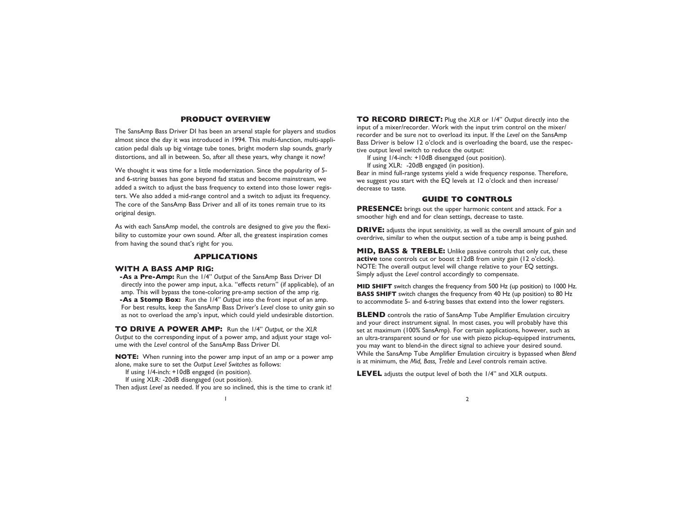# **PRODUCT OVERVIEW**

The SansAmp Bass Driver DI has been an arsenal staple for players and studios almost since the day it was introduced in 1994. This multi-function, multi-application pedal dials up big vintage tube tones, bright modern slap sounds, gnarly distortions, and all in between. So, after all these years, why change it now?

We thought it was time for a little modernization. Since the popularity of 5 and 6-string basses has gone beyond fad status and become mainstream, we added a switch to adjust the bass frequency to extend into those lower registers. We also added a mid-range control and a switch to adjust its frequency. The core of the SansAmp Bass Driver and all of its tones remain true to its original design.

As with each SansAmp model, the controls are designed to give *you* the flexibility to customize your own sound. After all, the greatest inspiration comes from having the sound that's right for you.

#### **APPLICATIONS**

#### **WITH A BASS AMP RIG:**

**-As a Pre-Amp:** Run the 1/4" *Output* of the SansAmp Bass Driver DI directly into the power amp input, a.k.a. "effects return" (if applicable), of an amp. This will bypass the tone-coloring pre-amp section of the amp rig. **-As a Stomp Box:** Run the 1/4" *Output* into the front input of an amp. For best results, keep the SansAmp Bass Driver's *Level* close to unity gain so as not to overload the amp's input, which could yield undesirable distortion.

**TO DRIVE A POWER AMP:** Run the 1/4" *Output,* or the *XLR Output* to the corresponding input of a power amp, and adjust your stage volume with the *Level* control of the SansAmp Bass Driver DI.

**NOTE:** When running into the power amp input of an amp or a power amp alone, make sure to set the *Output Level Switches* as follows:

If using 1/4-inch: +10dB engaged (in position).

If using XLR: -20dB disengaged (out position).

Then adjust *Level* as needed. If you are so inclined, this is the time to crank it!

**TO RECORD DIRECT:** Plug the *XLR* or 1/4" *Output* directly into the input of a mixer/recorder. Work with the input trim control on the mixer/ recorder and be sure not to overload its input. If the *Level* on the SansAmp Bass Driver is below 12 o'clock and is overloading the board, use the respective output level switch to reduce the output:

If using 1/4-inch: +10dB disengaged (out position).

If using XLR: -20dB engaged (in position).

Bear in mind full-range systems yield a wide frequency response. Therefore, we suggest you start with the EQ levels at 12 o'clock and then increase/ decrease to taste.

# **GUIDE TO CONTROLS**

**PRESENCE:** brings out the upper harmonic content and attack. For a smoother high end and for clean settings, decrease to taste.

**DRIVE:** adjusts the input sensitivity, as well as the overall amount of gain and overdrive, similar to when the output section of a tube amp is being pushed.

**MID, BASS & TREBLE:** Unlike passive controls that only cut, these **active** tone controls cut or boost ±12dB from unity gain (12 o'clock). NOTE: The overall output level will change relative to your EQ settings. Simply adjust the *Level* control accordingly to compensate.

**MID SHIFT** switch changes the frequency from 500 Hz (up position) to 1000 Hz. **BASS SHIFT** switch changes the frequency from 40 Hz (up position) to 80 Hz to accommodate 5- and 6-string basses that extend into the lower registers.

**BLEND** controls the ratio of SansAmp Tube Amplifier Emulation circuitry and your direct instrument signal. In most cases, you will probably have this set at maximum (100% SansAmp). For certain applications, however, such as an ultra-transparent sound or for use with piezo pickup-equipped instruments, you may want to blend-in the direct signal to achieve your desired sound. While the SansAmp Tube Amplifier Emulation circuitry is bypassed when *Blend* is at minimum, the *Mid, Bass, Treble* and *Level* controls remain active.

**LEVEL** adjusts the output level of both the 1/4" and XLR outputs.

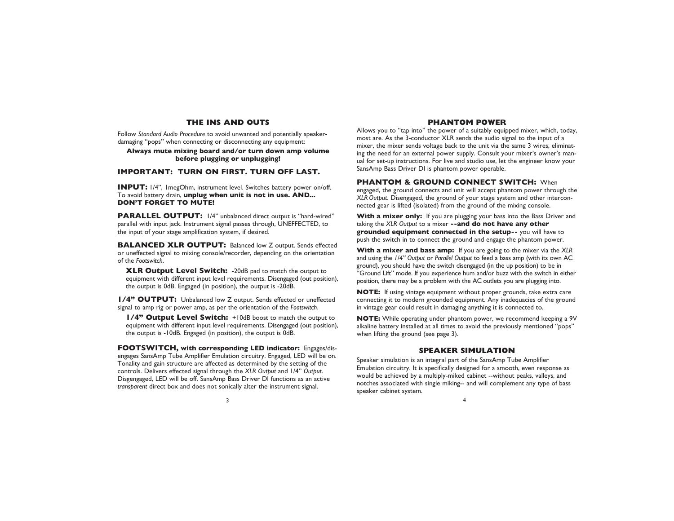## **THE INS AND OUTS**

Follow *Standard Audio Procedure* to avoid unwanted and potentially speakerdamaging "pops" when connecting or disconnecting any equipment:

## **Always mute mixing board and/or turn down amp volume before plugging or unplugging!**

# **IMPORTANT: TURN ON FIRST. TURN OFF LAST.**

**INPUT:** 1/4", 1megOhm, instrument level. Switches battery power on/off. To avoid battery drain, **unplug when unit is not in use. AND... DON'T FORGET TO MUTE!**

**PARALLEL OUTPUT:** 1/4" unbalanced direct output is "hard-wired" parallel with input jack. Instrument signal passes through, UNEFFECTED, to the input of your stage amplification system, if desired.

**BALANCED XLR OUTPUT:** Balanced low Z output. Sends effected or uneffected signal to mixing console/recorder, depending on the orientation of the *Footswitch*.

**XLR Output Level Switch:** -20dB pad to match the output to equipment with different input level requirements. Disengaged (out position), the output is 0dB. Engaged (in position), the output is -20dB.

**1/4" OUTPUT:** Unbalanced low Z output. Sends effected or uneffected signal to amp rig or power amp, as per the orientation of the *Footswitch*.

**1/4" Output Level Switch:** +10dB boost to match the output to equipment with different input level requirements. Disengaged (out position), the output is -10dB. Engaged (in position), the output is 0dB.

**FOOTSWITCH, with corresponding LED indicator:** Engages/disengages SansAmp Tube Amplifier Emulation circuitry. Engaged, LED will be on. Tonality and gain structure are affected as determined by the setting of the controls. Delivers effected signal through the *XLR Output* and 1/4" *Output*. Disgengaged, LED will be off. SansAmp Bass Driver DI functions as an active *transparent* direct box and does not sonically alter the instrument signal.

# **PHANTOM POWER**

Allows you to "tap into" the power of a suitably equipped mixer, which, today, most are. As the 3-conductor XLR sends the audio signal to the input of a mixer, the mixer sends voltage back to the unit via the same 3 wires, eliminating the need for an external power supply. Consult your mixer's owner's manual for set-up instructions. For live and studio use, let the engineer know your SansAmp Bass Driver DI is phantom power operable.

**PHANTOM & GROUND CONNECT SWITCH:** When

engaged, the ground connects and unit will accept phantom power through the *XLR Output*. Disengaged, the ground of your stage system and other interconnected gear is lifted (isolated) from the ground of the mixing console.

**With a mixer only:** If you are plugging your bass into the Bass Driver and taking the *XLR Output* to a mixer **--and do not have any other grounded equipment connected in the setup--** you will have to push the switch in to connect the ground and engage the phantom power.

**With a mixer and bass amp:** If you are going to the mixer via the *XLR* and using the *1/4" Output* or *Parallel Output* to feed a bass amp (with its own AC ground), you should have the switch disengaged (in the up position) to be in "Ground Lift" mode. If you experience hum and/or buzz with the switch in either position, there may be a problem with the AC outlets you are plugging into.

**NOTE:** If using vintage equipment without proper grounds, take extra care connecting it to modern grounded equipment. Any inadequacies of the ground in vintage gear could result in damaging anything it is connected to.

**NOTE:** While operating under phantom power, we recommend keeping a 9V alkaline battery installed at all times to avoid the previously mentioned "pops" when lifting the ground (see page 3).

### **SPEAKER SIMULATION**

Speaker simulation is an integral part of the SansAmp Tube Amplifier Emulation circuitry. It is specifically designed for a smooth, even response as would be achieved by a multiply-miked cabinet --without peaks, valleys, and notches associated with single miking-- and will complement any type of bass speaker cabinet system.

 $3 \times 4$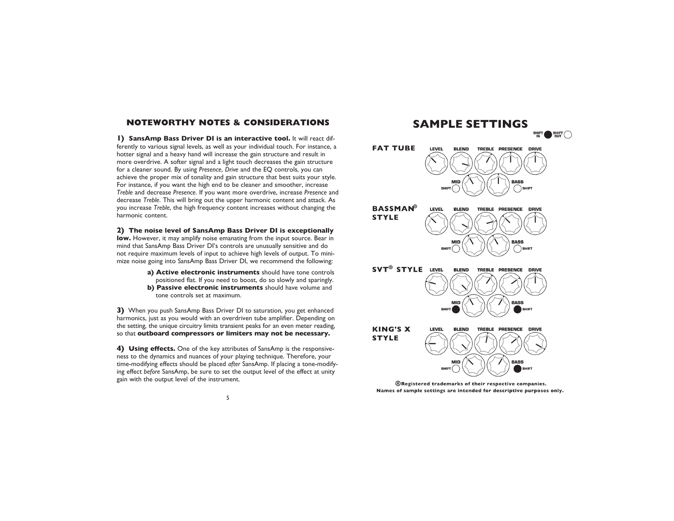# **NOTEWORTHY NOTES & CONSIDERATIONS**

**1) SansAmp Bass Driver DI is an interactive tool.** It will react differently to various signal levels, as well as your individual touch. For instance, a hotter signal and a heavy hand will increase the gain structure and result in more overdrive. A softer signal and a light touch decreases the gain structure for a cleaner sound. By using *Presence*, *Drive* and the EQ controls, you can achieve the proper mix of tonality and gain structure that best suits your style. For instance, if you want the high end to be cleaner and smoother, increase *Treble* and decrease *Presence*. If you want more overdrive, increase *Presence* and decrease *Treble*. This will bring out the upper harmonic content and attack. As you increase *Treble*, the high frequency content increases without changing the harmonic content.

#### **2) The noise level of SansAmp Bass Driver DI is exceptionally**

**low.** However, it may amplify noise emanating from the input source. Bear in mind that SansAmp Bass Driver DI's controls are unusually sensitive and do not require maximum levels of input to achieve high levels of output. To minimize noise going into SansAmp Bass Driver DI, we recommend the following:

> **a) Active electronic instruments** should have tone controls positioned flat. If you need to boost, do so slowly and sparingly. **b) Passive electronic instruments** should have volume and tone controls set at maximum.

**3)** When you push SansAmp Bass Driver DI to saturation, you get enhanced harmonics, just as you would with an overdriven tube amplifier. Depending on the setting, the unique circuitry limits transient peaks for an even meter reading, so that **outboard compressors or limiters may not be necessary.**

**4) Using effects.** One of the key attributes of SansAmp is the responsiveness to the dynamics and nuances of your playing technique. Therefore, your time-modifying effects should be placed *after* SansAmp. If placing a tone-modifying effect *before* SansAmp, be sure to set the output level of the effect at unity gain with the output level of the instrument.



®Registered trademarks of their respective companies. Names of sample settings are intended for descriptive purposes only.

5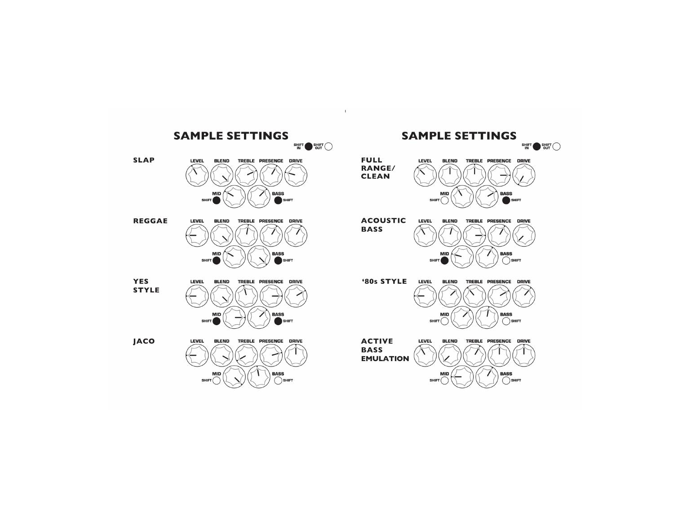

 $\mathbf{1}$